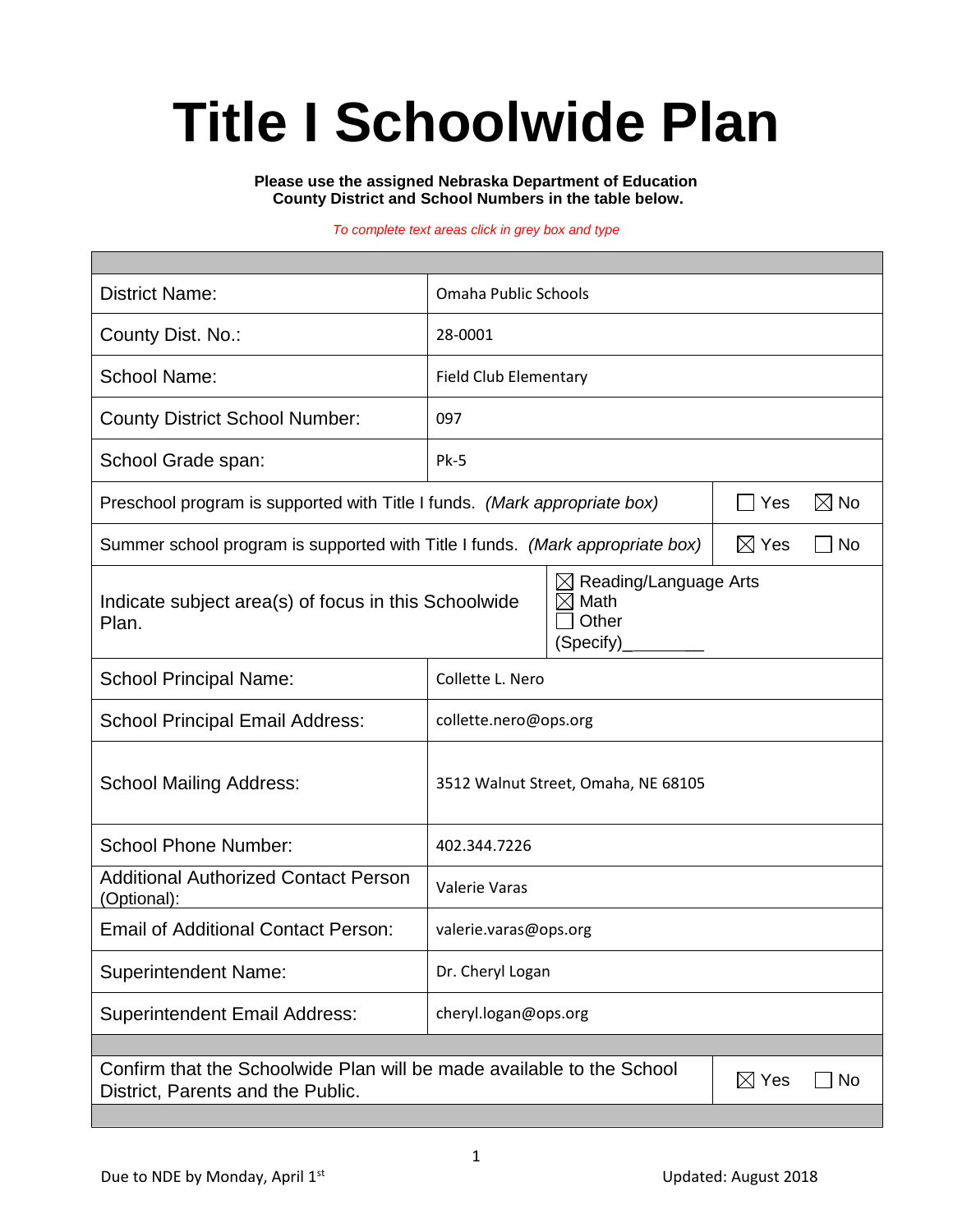# **Title I Schoolwide Plan**

**Please use the assigned Nebraska Department of Education County District and School Numbers in the table below.**

#### *To complete text areas click in grey box and type*

| <b>District Name:</b>                                                                                                                    | Omaha Public Schools                |                              |  |  |  |  |
|------------------------------------------------------------------------------------------------------------------------------------------|-------------------------------------|------------------------------|--|--|--|--|
| County Dist. No.:                                                                                                                        | 28-0001                             |                              |  |  |  |  |
| <b>School Name:</b>                                                                                                                      | <b>Field Club Elementary</b>        |                              |  |  |  |  |
| <b>County District School Number:</b>                                                                                                    | 097                                 |                              |  |  |  |  |
| School Grade span:                                                                                                                       | Pk-5                                |                              |  |  |  |  |
| Preschool program is supported with Title I funds. (Mark appropriate box)                                                                | $\boxtimes$ No<br>Yes               |                              |  |  |  |  |
| Summer school program is supported with Title I funds. (Mark appropriate box)                                                            |                                     | $\boxtimes$ Yes<br>$\Box$ No |  |  |  |  |
| Reading/Language Arts<br>$\boxtimes$<br>Math<br>Indicate subject area(s) of focus in this Schoolwide<br>⋉<br>Other<br>Plan.<br>(Specify) |                                     |                              |  |  |  |  |
| <b>School Principal Name:</b>                                                                                                            | Collette L. Nero                    |                              |  |  |  |  |
| <b>School Principal Email Address:</b>                                                                                                   | collette.nero@ops.org               |                              |  |  |  |  |
| <b>School Mailing Address:</b>                                                                                                           | 3512 Walnut Street, Omaha, NE 68105 |                              |  |  |  |  |
| <b>School Phone Number:</b>                                                                                                              | 402.344.7226                        |                              |  |  |  |  |
| <b>Additional Authorized Contact Person</b><br>(Optional):                                                                               | Valerie Varas                       |                              |  |  |  |  |
| <b>Email of Additional Contact Person:</b>                                                                                               | valerie.varas@ops.org               |                              |  |  |  |  |
| <b>Superintendent Name:</b>                                                                                                              | Dr. Cheryl Logan                    |                              |  |  |  |  |
| <b>Superintendent Email Address:</b>                                                                                                     | cheryl.logan@ops.org                |                              |  |  |  |  |
|                                                                                                                                          |                                     |                              |  |  |  |  |
| Confirm that the Schoolwide Plan will be made available to the School<br>$\boxtimes$ Yes<br>No<br>District, Parents and the Public.      |                                     |                              |  |  |  |  |
|                                                                                                                                          |                                     |                              |  |  |  |  |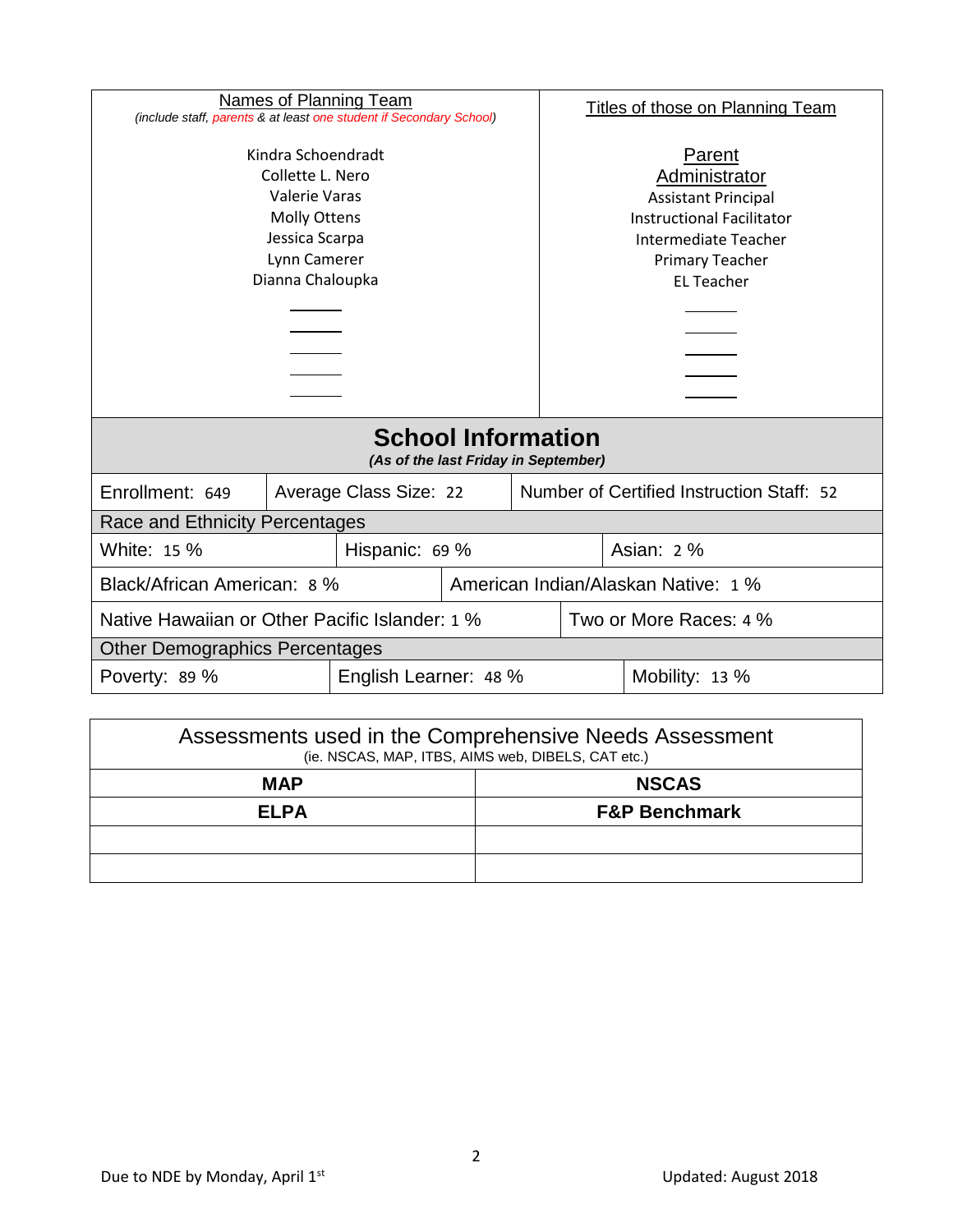| Names of Planning Team<br>(include staff, parents & at least one student if Secondary School)                                               |  |                        |                                                                                                                                                                  | <b>Titles of those on Planning Team</b> |                                           |  |  |
|---------------------------------------------------------------------------------------------------------------------------------------------|--|------------------------|------------------------------------------------------------------------------------------------------------------------------------------------------------------|-----------------------------------------|-------------------------------------------|--|--|
| Kindra Schoendradt<br>Collette L. Nero<br><b>Valerie Varas</b><br><b>Molly Ottens</b><br>Jessica Scarpa<br>Lynn Camerer<br>Dianna Chaloupka |  |                        | Parent<br>Administrator<br><b>Assistant Principal</b><br><b>Instructional Facilitator</b><br>Intermediate Teacher<br><b>Primary Teacher</b><br><b>EL Teacher</b> |                                         |                                           |  |  |
| <b>School Information</b><br>(As of the last Friday in September)                                                                           |  |                        |                                                                                                                                                                  |                                         |                                           |  |  |
| Enrollment: 649                                                                                                                             |  | Average Class Size: 22 |                                                                                                                                                                  |                                         | Number of Certified Instruction Staff: 52 |  |  |
| Race and Ethnicity Percentages                                                                                                              |  |                        |                                                                                                                                                                  |                                         |                                           |  |  |
| White: 15 %<br>Hispanic: 69 %                                                                                                               |  |                        | Asian: 2 %                                                                                                                                                       |                                         |                                           |  |  |
| Black/African American: 8 %                                                                                                                 |  |                        |                                                                                                                                                                  | American Indian/Alaskan Native: 1 %     |                                           |  |  |
| Native Hawaiian or Other Pacific Islander: 1 %                                                                                              |  |                        | Two or More Races: 4 %                                                                                                                                           |                                         |                                           |  |  |
| <b>Other Demographics Percentages</b>                                                                                                       |  |                        |                                                                                                                                                                  |                                         |                                           |  |  |
| English Learner: 48 %<br>Poverty: 89 %                                                                                                      |  |                        |                                                                                                                                                                  |                                         | Mobility: 13 %                            |  |  |
|                                                                                                                                             |  |                        |                                                                                                                                                                  |                                         |                                           |  |  |

| Assessments used in the Comprehensive Needs Assessment<br>(ie. NSCAS, MAP, ITBS, AIMS web, DIBELS, CAT etc.) |                          |  |  |
|--------------------------------------------------------------------------------------------------------------|--------------------------|--|--|
| <b>MAP</b>                                                                                                   | <b>NSCAS</b>             |  |  |
| <b>ELPA</b>                                                                                                  | <b>F&amp;P Benchmark</b> |  |  |
|                                                                                                              |                          |  |  |
|                                                                                                              |                          |  |  |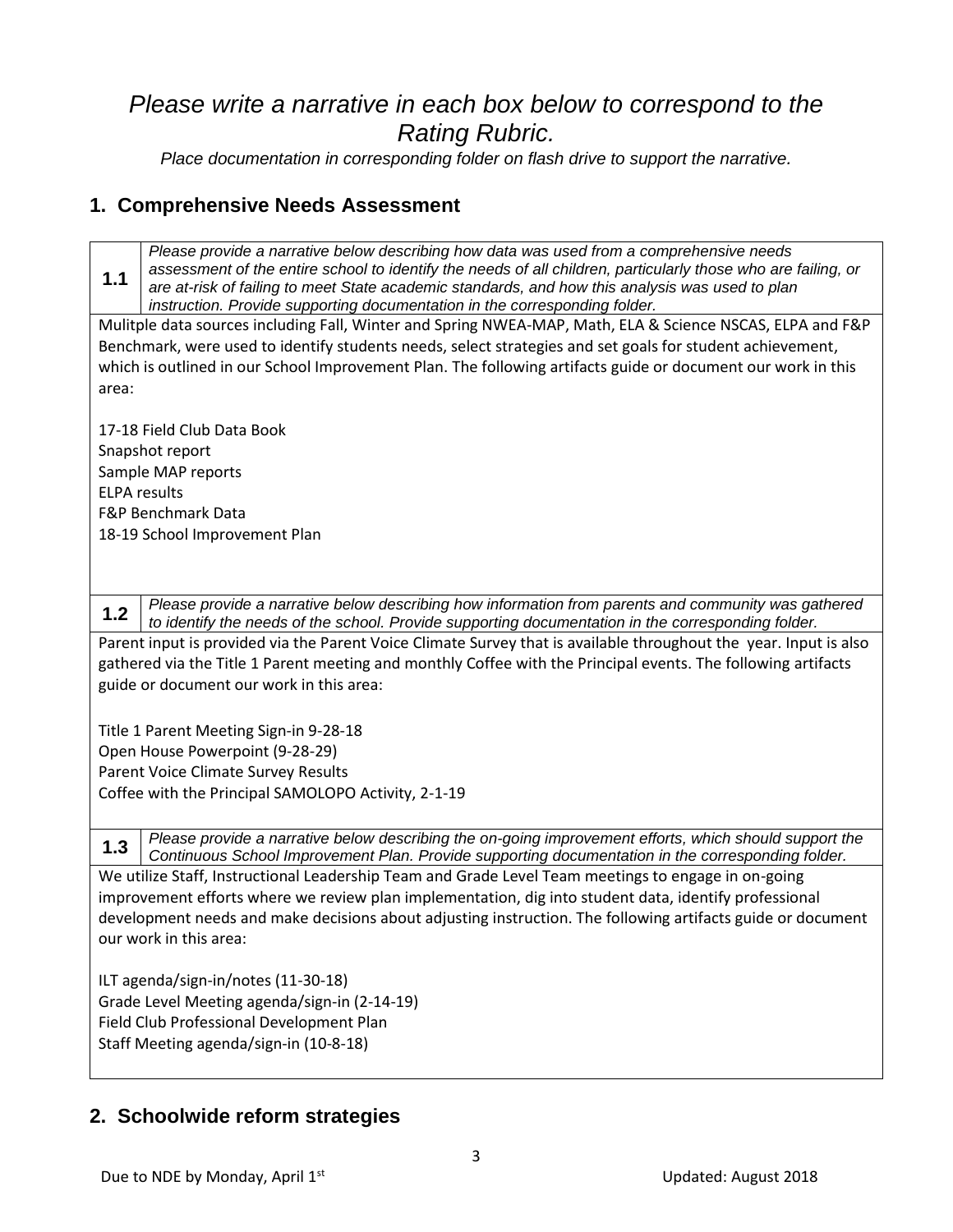# *Please write a narrative in each box below to correspond to the Rating Rubric.*

*Place documentation in corresponding folder on flash drive to support the narrative.*

#### **1. Comprehensive Needs Assessment**

**1.1** *Please provide a narrative below describing how data was used from a comprehensive needs assessment of the entire school to identify the needs of all children, particularly those who are failing, or are at-risk of failing to meet State academic standards, and how this analysis was used to plan instruction. Provide supporting documentation in the corresponding folder.*

Mulitple data sources including Fall, Winter and Spring NWEA-MAP, Math, ELA & Science NSCAS, ELPA and F&P Benchmark, were used to identify students needs, select strategies and set goals for student achievement, which is outlined in our School Improvement Plan. The following artifacts guide or document our work in this area:

17-18 Field Club Data Book Snapshot report Sample MAP reports ELPA results F&P Benchmark Data 18-19 School Improvement Plan

**1.2** *Please provide a narrative below describing how information from parents and community was gathered to identify the needs of the school. Provide supporting documentation in the corresponding folder.*

Parent input is provided via the Parent Voice Climate Survey that is available throughout the year. Input is also gathered via the Title 1 Parent meeting and monthly Coffee with the Principal events. The following artifacts guide or document our work in this area:

Title 1 Parent Meeting Sign-in 9-28-18 Open House Powerpoint (9-28-29) Parent Voice Climate Survey Results Coffee with the Principal SAMOLOPO Activity, 2-1-19

**1.3** *Please provide a narrative below describing the on-going improvement efforts, which should support the Continuous School Improvement Plan. Provide supporting documentation in the corresponding folder.*

We utilize Staff, Instructional Leadership Team and Grade Level Team meetings to engage in on-going improvement efforts where we review plan implementation, dig into student data, identify professional development needs and make decisions about adjusting instruction. The following artifacts guide or document our work in this area:

ILT agenda/sign-in/notes (11-30-18) Grade Level Meeting agenda/sign-in (2-14-19) Field Club Professional Development Plan Staff Meeting agenda/sign-in (10-8-18)

#### **2. Schoolwide reform strategies**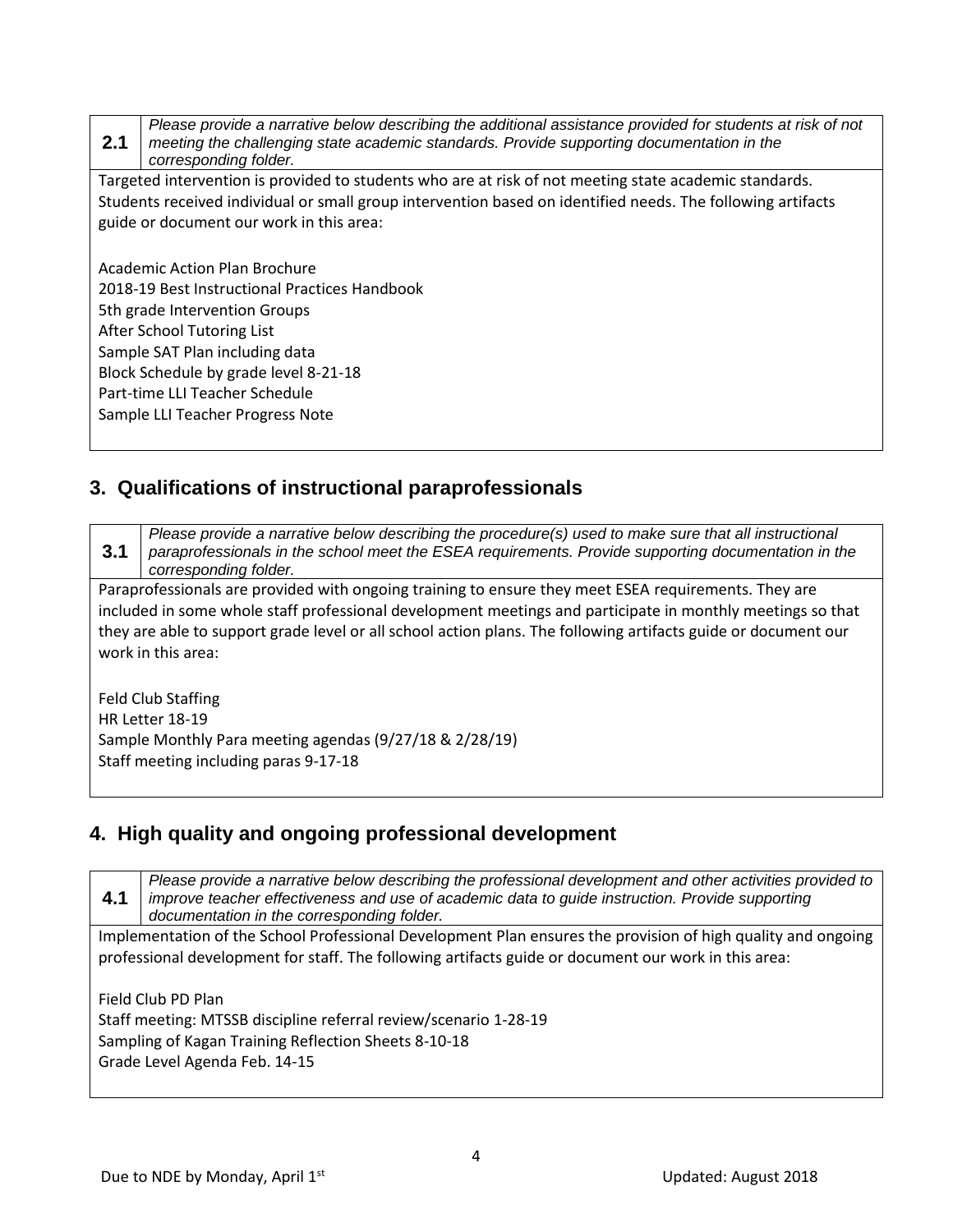**2.1** *Please provide a narrative below describing the additional assistance provided for students at risk of not meeting the challenging state academic standards. Provide supporting documentation in the corresponding folder.*

Targeted intervention is provided to students who are at risk of not meeting state academic standards. Students received individual or small group intervention based on identified needs. The following artifacts guide or document our work in this area:

Academic Action Plan Brochure 2018-19 Best Instructional Practices Handbook 5th grade Intervention Groups After School Tutoring List Sample SAT Plan including data Block Schedule by grade level 8-21-18 Part-time LLI Teacher Schedule Sample LLI Teacher Progress Note

#### **3. Qualifications of instructional paraprofessionals**

**3.1** *Please provide a narrative below describing the procedure(s) used to make sure that all instructional paraprofessionals in the school meet the ESEA requirements. Provide supporting documentation in the corresponding folder.*

Paraprofessionals are provided with ongoing training to ensure they meet ESEA requirements. They are included in some whole staff professional development meetings and participate in monthly meetings so that they are able to support grade level or all school action plans. The following artifacts guide or document our work in this area:

Feld Club Staffing HR Letter 18-19 Sample Monthly Para meeting agendas (9/27/18 & 2/28/19) Staff meeting including paras 9-17-18

#### **4. High quality and ongoing professional development**

**4.1** *Please provide a narrative below describing the professional development and other activities provided to improve teacher effectiveness and use of academic data to guide instruction. Provide supporting documentation in the corresponding folder.* Implementation of the School Professional Development Plan ensures the provision of high quality and ongoing professional development for staff. The following artifacts guide or document our work in this area:

Field Club PD Plan Staff meeting: MTSSB discipline referral review/scenario 1-28-19 Sampling of Kagan Training Reflection Sheets 8-10-18 Grade Level Agenda Feb. 14-15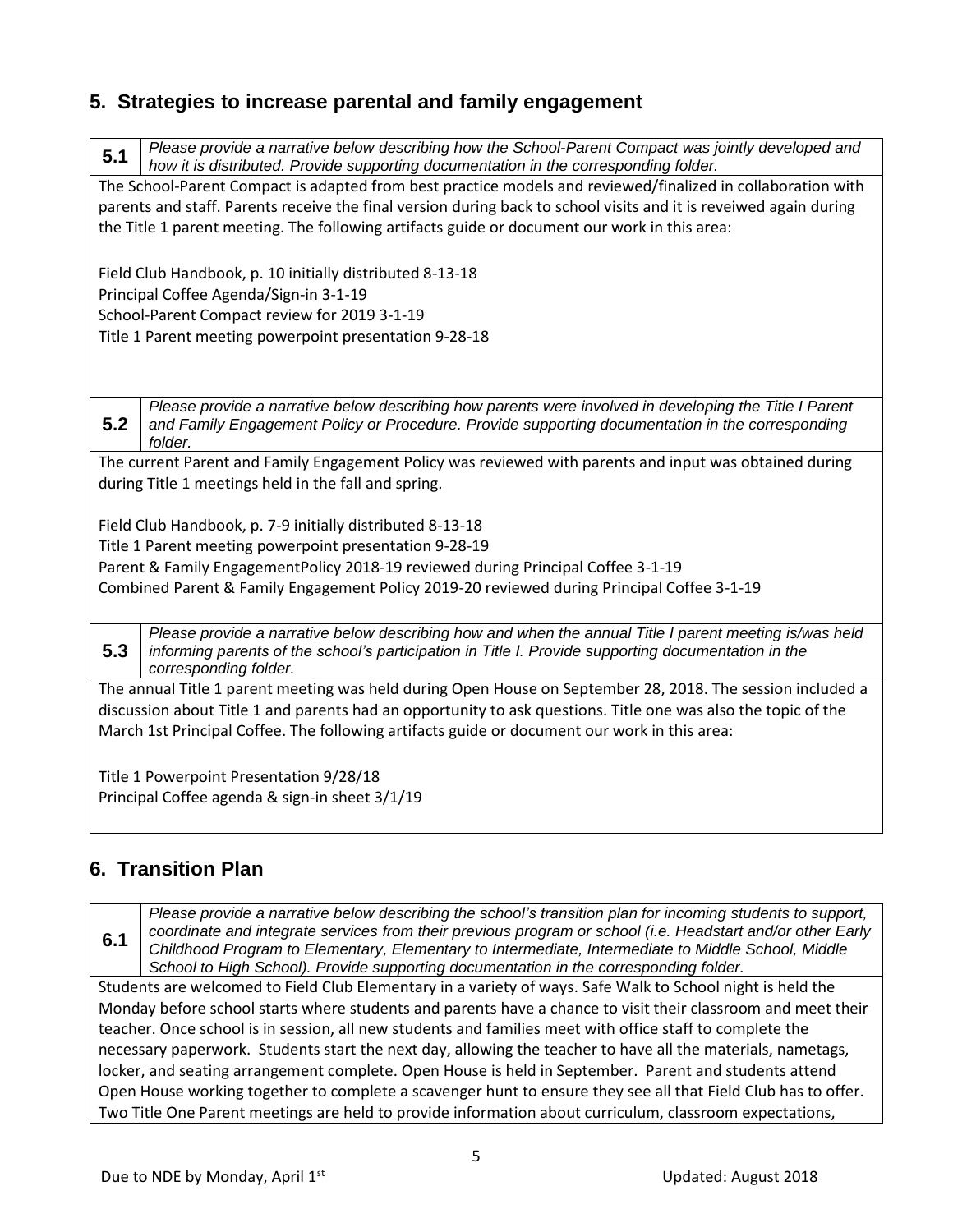### **5. Strategies to increase parental and family engagement**

**5.1** *Please provide a narrative below describing how the School-Parent Compact was jointly developed and how it is distributed. Provide supporting documentation in the corresponding folder.* The School-Parent Compact is adapted from best practice models and reviewed/finalized in collaboration with parents and staff. Parents receive the final version during back to school visits and it is reveiwed again during the Title 1 parent meeting. The following artifacts guide or document our work in this area: Field Club Handbook, p. 10 initially distributed 8-13-18 Principal Coffee Agenda/Sign-in 3-1-19 School-Parent Compact review for 2019 3-1-19 Title 1 Parent meeting powerpoint presentation 9-28-18 **5.2** *Please provide a narrative below describing how parents were involved in developing the Title I Parent and Family Engagement Policy or Procedure. Provide supporting documentation in the corresponding folder.* The current Parent and Family Engagement Policy was reviewed with parents and input was obtained during during Title 1 meetings held in the fall and spring. Field Club Handbook, p. 7-9 initially distributed 8-13-18 Title 1 Parent meeting powerpoint presentation 9-28-19 Parent & Family EngagementPolicy 2018-19 reviewed during Principal Coffee 3-1-19 Combined Parent & Family Engagement Policy 2019-20 reviewed during Principal Coffee 3-1-19 **5.3** *Please provide a narrative below describing how and when the annual Title I parent meeting is/was held informing parents of the school's participation in Title I. Provide supporting documentation in the corresponding folder.* The annual Title 1 parent meeting was held during Open House on September 28, 2018. The session included a discussion about Title 1 and parents had an opportunity to ask questions. Title one was also the topic of the March 1st Principal Coffee. The following artifacts guide or document our work in this area: Title 1 Powerpoint Presentation 9/28/18

Principal Coffee agenda & sign-in sheet 3/1/19

# **6. Transition Plan**

**6.1** *Please provide a narrative below describing the school's transition plan for incoming students to support, coordinate and integrate services from their previous program or school (i.e. Headstart and/or other Early Childhood Program to Elementary, Elementary to Intermediate, Intermediate to Middle School, Middle School to High School). Provide supporting documentation in the corresponding folder.*

Students are welcomed to Field Club Elementary in a variety of ways. Safe Walk to School night is held the Monday before school starts where students and parents have a chance to visit their classroom and meet their teacher. Once school is in session, all new students and families meet with office staff to complete the necessary paperwork. Students start the next day, allowing the teacher to have all the materials, nametags, locker, and seating arrangement complete. Open House is held in September. Parent and students attend Open House working together to complete a scavenger hunt to ensure they see all that Field Club has to offer. Two Title One Parent meetings are held to provide information about curriculum, classroom expectations,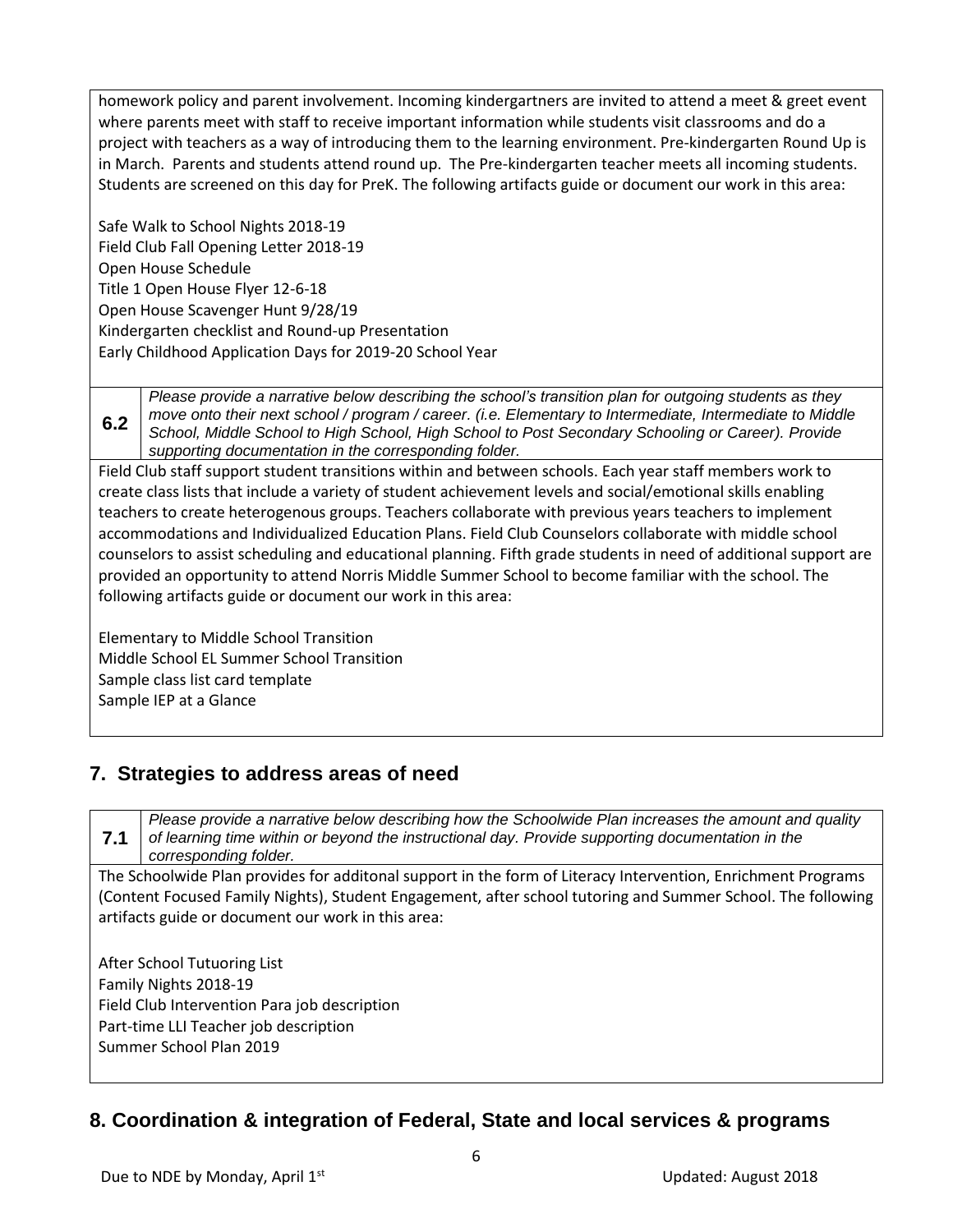homework policy and parent involvement. Incoming kindergartners are invited to attend a meet & greet event where parents meet with staff to receive important information while students visit classrooms and do a project with teachers as a way of introducing them to the learning environment. Pre-kindergarten Round Up is in March. Parents and students attend round up. The Pre-kindergarten teacher meets all incoming students. Students are screened on this day for PreK. The following artifacts guide or document our work in this area:

Safe Walk to School Nights 2018-19 Field Club Fall Opening Letter 2018-19 Open House Schedule Title 1 Open House Flyer 12-6-18 Open House Scavenger Hunt 9/28/19 Kindergarten checklist and Round-up Presentation Early Childhood Application Days for 2019-20 School Year

**6.2** *Please provide a narrative below describing the school's transition plan for outgoing students as they move onto their next school / program / career. (i.e. Elementary to Intermediate, Intermediate to Middle School, Middle School to High School, High School to Post Secondary Schooling or Career). Provide supporting documentation in the corresponding folder.*

Field Club staff support student transitions within and between schools. Each year staff members work to create class lists that include a variety of student achievement levels and social/emotional skills enabling teachers to create heterogenous groups. Teachers collaborate with previous years teachers to implement accommodations and Individualized Education Plans. Field Club Counselors collaborate with middle school counselors to assist scheduling and educational planning. Fifth grade students in need of additional support are provided an opportunity to attend Norris Middle Summer School to become familiar with the school. The following artifacts guide or document our work in this area:

Elementary to Middle School Transition Middle School EL Summer School Transition Sample class list card template Sample IEP at a Glance

# **7. Strategies to address areas of need**

**7.1** *Please provide a narrative below describing how the Schoolwide Plan increases the amount and quality of learning time within or beyond the instructional day. Provide supporting documentation in the corresponding folder.* The Schoolwide Plan provides for additonal support in the form of Literacy Intervention, Enrichment Programs (Content Focused Family Nights), Student Engagement, after school tutoring and Summer School. The following artifacts guide or document our work in this area: After School Tutuoring List Family Nights 2018-19 Field Club Intervention Para job description Part-time LLI Teacher job description Summer School Plan 2019

# **8. Coordination & integration of Federal, State and local services & programs**